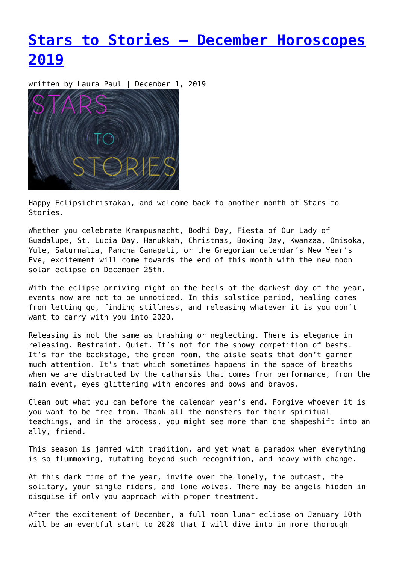# **[Stars to Stories – December Horoscopes](https://entropymag.org/stars-to-stories-december-horoscopes/) [2019](https://entropymag.org/stars-to-stories-december-horoscopes/)**

written by Laura Paul | December 1, 2019



Happy Eclipsichrismakah, and welcome back to another month of Stars to Stories.

Whether you celebrate Krampusnacht, Bodhi Day, Fiesta of Our Lady of Guadalupe, St. Lucia Day, Hanukkah, Christmas, Boxing Day, Kwanzaa, Omisoka, Yule, Saturnalia, Pancha Ganapati, or the Gregorian calendar's New Year's Eve, excitement will come towards the end of this month with the new moon solar eclipse on December 25th.

With the eclipse arriving right on the heels of the darkest day of the year, events now are not to be unnoticed. In this solstice period, healing comes from letting go, finding stillness, and releasing whatever it is you don't want to carry with you into 2020.

Releasing is not the same as trashing or neglecting. There is elegance in releasing. Restraint. Quiet. It's not for the showy competition of bests. It's for the backstage, the green room, the aisle seats that don't garner much attention. It's that which sometimes happens in the space of breaths when we are distracted by the catharsis that comes from performance, from the main event, eyes glittering with encores and bows and bravos.

Clean out what you can before the calendar year's end. Forgive whoever it is you want to be free from. Thank all the monsters for their spiritual teachings, and in the process, you might see more than one shapeshift into an ally, friend.

This season is jammed with tradition, and yet what a paradox when everything is so flummoxing, mutating beyond such recognition, and heavy with change.

At this dark time of the year, invite over the lonely, the outcast, the solitary, your single riders, and lone wolves. There may be angels hidden in disguise if only you approach with proper treatment.

After the excitement of December, a full moon lunar eclipse on January 10th will be an eventful start to 2020 that I will dive into in more thorough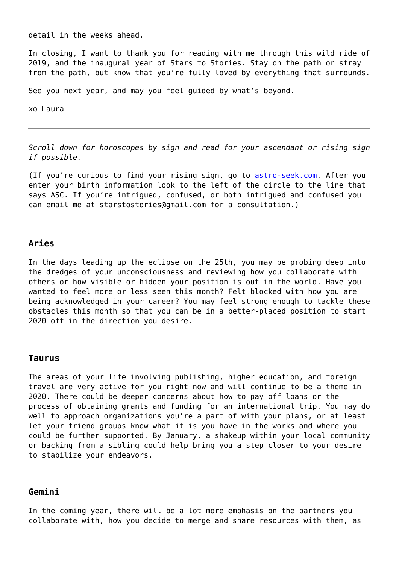detail in the weeks ahead.

In closing, I want to thank you for reading with me through this wild ride of 2019, and the inaugural year of Stars to Stories. Stay on the path or stray from the path, but know that you're fully loved by everything that surrounds.

See you next year, and may you feel guided by what's beyond.

xo Laura

*Scroll down for horoscopes by sign and read for your ascendant or rising sign if possible.*

(If you're curious to find your rising sign, go to [astro-seek.com.](https://entropymag.org/astro-seek.com) After you enter your birth information look to the left of the circle to the line that says ASC. If you're intrigued, confused, or both intrigued and confused you can email me at starstostories@gmail.com for a consultation.)

## **Aries**

In the days leading up the eclipse on the 25th, you may be probing deep into the dredges of your unconsciousness and reviewing how you collaborate with others or how visible or hidden your position is out in the world. Have you wanted to feel more or less seen this month? Felt blocked with how you are being acknowledged in your career? You may feel strong enough to tackle these obstacles this month so that you can be in a better-placed position to start 2020 off in the direction you desire.

#### **Taurus**

The areas of your life involving publishing, higher education, and foreign travel are very active for you right now and will continue to be a theme in 2020. There could be deeper concerns about how to pay off loans or the process of obtaining grants and funding for an international trip. You may do well to approach organizations you're a part of with your plans, or at least let your friend groups know what it is you have in the works and where you could be further supported. By January, a shakeup within your local community or backing from a sibling could help bring you a step closer to your desire to stabilize your endeavors.

## **Gemini**

In the coming year, there will be a lot more emphasis on the partners you collaborate with, how you decide to merge and share resources with them, as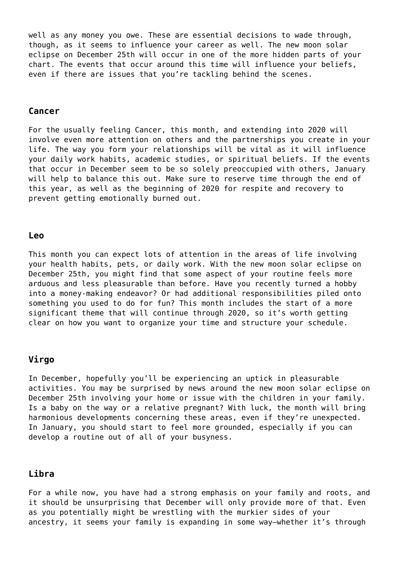well as any money you owe. These are essential decisions to wade through, though, as it seems to influence your career as well. The new moon solar eclipse on December 25th will occur in one of the more hidden parts of your chart. The events that occur around this time will influence your beliefs, even if there are issues that you're tackling behind the scenes.

## **Cancer**

For the usually feeling Cancer, this month, and extending into 2020 will involve even more attention on others and the partnerships you create in your life. The way you form your relationships will be vital as it will influence your daily work habits, academic studies, or spiritual beliefs. If the events that occur in December seem to be so solely preoccupied with others, January will help to balance this out. Make sure to reserve time through the end of this year, as well as the beginning of 2020 for respite and recovery to prevent getting emotionally burned out.

#### **Leo**

This month you can expect lots of attention in the areas of life involving your health habits, pets, or daily work. With the new moon solar eclipse on December 25th, you might find that some aspect of your routine feels more arduous and less pleasurable than before. Have you recently turned a hobby into a money-making endeavor? Or had additional responsibilities piled onto something you used to do for fun? This month includes the start of a more significant theme that will continue through 2020, so it's worth getting clear on how you want to organize your time and structure your schedule.

## **Virgo**

In December, hopefully you'll be experiencing an uptick in pleasurable activities. You may be surprised by news around the new moon solar eclipse on December 25th involving your home or issue with the children in your family. Is a baby on the way or a relative pregnant? With luck, the month will bring harmonious developments concerning these areas, even if they're unexpected. In January, you should start to feel more grounded, especially if you can develop a routine out of all of your busyness.

## **Libra**

For a while now, you have had a strong emphasis on your family and roots, and it should be unsurprising that December will only provide more of that. Even as you potentially might be wrestling with the murkier sides of your ancestry, it seems your family is expanding in some way—whether it's through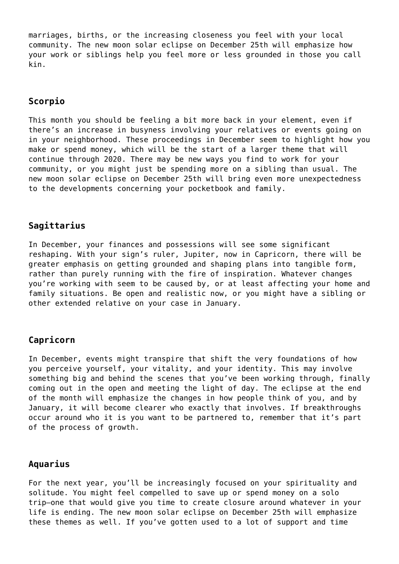marriages, births, or the increasing closeness you feel with your local community. The new moon solar eclipse on December 25th will emphasize how your work or siblings help you feel more or less grounded in those you call kin.

# **Scorpio**

This month you should be feeling a bit more back in your element, even if there's an increase in busyness involving your relatives or events going on in your neighborhood. These proceedings in December seem to highlight how you make or spend money, which will be the start of a larger theme that will continue through 2020. There may be new ways you find to work for your community, or you might just be spending more on a sibling than usual. The new moon solar eclipse on December 25th will bring even more unexpectedness to the developments concerning your pocketbook and family.

# **Sagittarius**

In December, your finances and possessions will see some significant reshaping. With your sign's ruler, Jupiter, now in Capricorn, there will be greater emphasis on getting grounded and shaping plans into tangible form, rather than purely running with the fire of inspiration. Whatever changes you're working with seem to be caused by, or at least affecting your home and family situations. Be open and realistic now, or you might have a sibling or other extended relative on your case in January.

# **Capricorn**

In December, events might transpire that shift the very foundations of how you perceive yourself, your vitality, and your identity. This may involve something big and behind the scenes that you've been working through, finally coming out in the open and meeting the light of day. The eclipse at the end of the month will emphasize the changes in how people think of you, and by January, it will become clearer who exactly that involves. If breakthroughs occur around who it is you want to be partnered to, remember that it's part of the process of growth.

## **Aquarius**

For the next year, you'll be increasingly focused on your spirituality and solitude. You might feel compelled to save up or spend money on a solo trip—one that would give you time to create closure around whatever in your life is ending. The new moon solar eclipse on December 25th will emphasize these themes as well. If you've gotten used to a lot of support and time